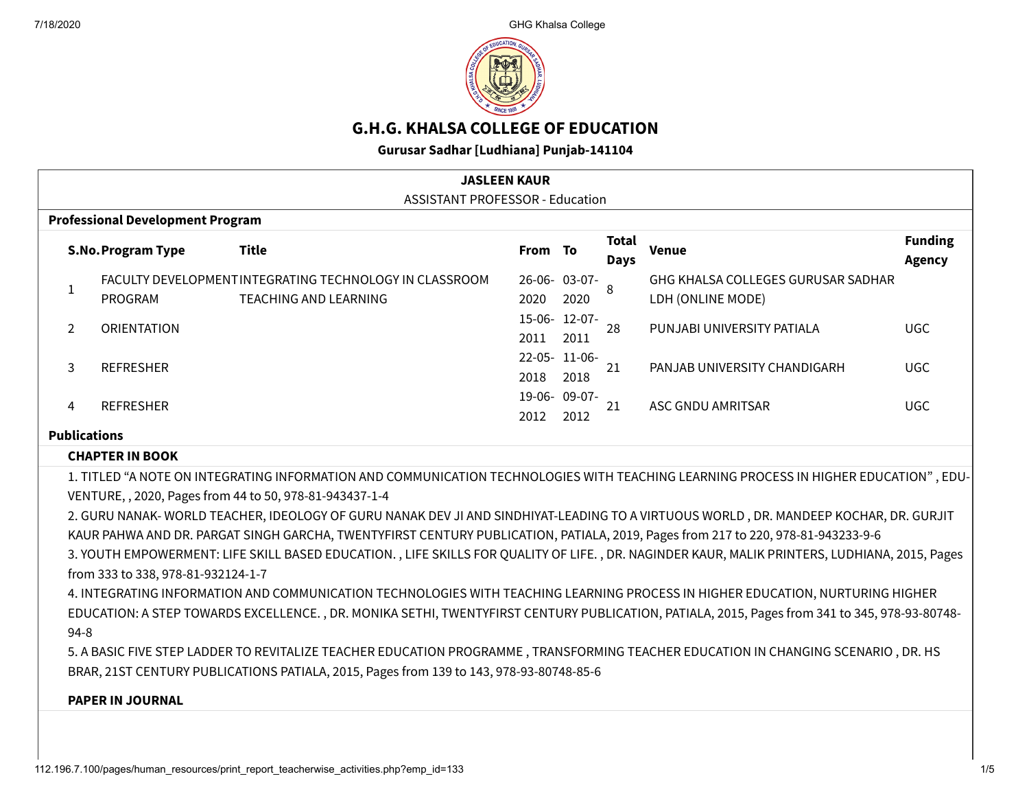

# **G.H.G. KHALSA COLLEGE OF EDUCATION**

**Gurusar Sadhar [Ludhiana] Punjab-141104**

| <b>JASLEEN KAUR</b>                     |                                                                                                                                                                                                                                                                                                                                                                                                                                                                                                                                                                                                                                                                                                                                                                                                                                                                                                                                                                                                                                                                                                                                                                                                     |                                                                                         |         |                       |                             |                                                         |                                 |  |  |  |
|-----------------------------------------|-----------------------------------------------------------------------------------------------------------------------------------------------------------------------------------------------------------------------------------------------------------------------------------------------------------------------------------------------------------------------------------------------------------------------------------------------------------------------------------------------------------------------------------------------------------------------------------------------------------------------------------------------------------------------------------------------------------------------------------------------------------------------------------------------------------------------------------------------------------------------------------------------------------------------------------------------------------------------------------------------------------------------------------------------------------------------------------------------------------------------------------------------------------------------------------------------------|-----------------------------------------------------------------------------------------|---------|-----------------------|-----------------------------|---------------------------------------------------------|---------------------------------|--|--|--|
| <b>ASSISTANT PROFESSOR - Education</b>  |                                                                                                                                                                                                                                                                                                                                                                                                                                                                                                                                                                                                                                                                                                                                                                                                                                                                                                                                                                                                                                                                                                                                                                                                     |                                                                                         |         |                       |                             |                                                         |                                 |  |  |  |
| <b>Professional Development Program</b> |                                                                                                                                                                                                                                                                                                                                                                                                                                                                                                                                                                                                                                                                                                                                                                                                                                                                                                                                                                                                                                                                                                                                                                                                     |                                                                                         |         |                       |                             |                                                         |                                 |  |  |  |
|                                         | <b>S.No.Program Type</b>                                                                                                                                                                                                                                                                                                                                                                                                                                                                                                                                                                                                                                                                                                                                                                                                                                                                                                                                                                                                                                                                                                                                                                            | <b>Title</b>                                                                            | From To |                       | <b>Total</b><br><b>Days</b> | <b>Venue</b>                                            | <b>Funding</b><br><b>Agency</b> |  |  |  |
| $\mathbf{1}$                            | PROGRAM                                                                                                                                                                                                                                                                                                                                                                                                                                                                                                                                                                                                                                                                                                                                                                                                                                                                                                                                                                                                                                                                                                                                                                                             | FACULTY DEVELOPMENT INTEGRATING TECHNOLOGY IN CLASSROOM<br><b>TEACHING AND LEARNING</b> | 2020    | 26-06-03-07-<br>2020  | $\mathbf{8}$                | GHG KHALSA COLLEGES GURUSAR SADHAR<br>LDH (ONLINE MODE) |                                 |  |  |  |
| 2                                       | <b>ORIENTATION</b>                                                                                                                                                                                                                                                                                                                                                                                                                                                                                                                                                                                                                                                                                                                                                                                                                                                                                                                                                                                                                                                                                                                                                                                  |                                                                                         | 2011    | 15-06- 12-07-<br>2011 | 28                          | PUNJABI UNIVERSITY PATIALA                              | <b>UGC</b>                      |  |  |  |
| 3                                       | <b>REFRESHER</b>                                                                                                                                                                                                                                                                                                                                                                                                                                                                                                                                                                                                                                                                                                                                                                                                                                                                                                                                                                                                                                                                                                                                                                                    |                                                                                         | 2018    | 22-05-11-06-<br>2018  | 21                          | PANJAB UNIVERSITY CHANDIGARH                            | <b>UGC</b>                      |  |  |  |
| 4                                       | <b>REFRESHER</b>                                                                                                                                                                                                                                                                                                                                                                                                                                                                                                                                                                                                                                                                                                                                                                                                                                                                                                                                                                                                                                                                                                                                                                                    |                                                                                         | 2012    | 19-06-09-07-<br>2012  | 21                          | ASC GNDU AMRITSAR                                       | <b>UGC</b>                      |  |  |  |
| <b>Publications</b>                     |                                                                                                                                                                                                                                                                                                                                                                                                                                                                                                                                                                                                                                                                                                                                                                                                                                                                                                                                                                                                                                                                                                                                                                                                     |                                                                                         |         |                       |                             |                                                         |                                 |  |  |  |
|                                         | <b>CHAPTER IN BOOK</b>                                                                                                                                                                                                                                                                                                                                                                                                                                                                                                                                                                                                                                                                                                                                                                                                                                                                                                                                                                                                                                                                                                                                                                              |                                                                                         |         |                       |                             |                                                         |                                 |  |  |  |
|                                         | 1. TITLED "A NOTE ON INTEGRATING INFORMATION AND COMMUNICATION TECHNOLOGIES WITH TEACHING LEARNING PROCESS IN HIGHER EDUCATION", EDU-<br>VENTURE, , 2020, Pages from 44 to 50, 978-81-943437-1-4<br>2. GURU NANAK-WORLD TEACHER, IDEOLOGY OF GURU NANAK DEV JI AND SINDHIYAT-LEADING TO A VIRTUOUS WORLD, DR. MANDEEP KOCHAR, DR. GURJIT<br>KAUR PAHWA AND DR. PARGAT SINGH GARCHA, TWENTYFIRST CENTURY PUBLICATION, PATIALA, 2019, Pages from 217 to 220, 978-81-943233-9-6<br>3. YOUTH EMPOWERMENT: LIFE SKILL BASED EDUCATION., LIFE SKILLS FOR QUALITY OF LIFE., DR. NAGINDER KAUR, MALIK PRINTERS, LUDHIANA, 2015, Pages<br>from 333 to 338, 978-81-932124-1-7<br>4. INTEGRATING INFORMATION AND COMMUNICATION TECHNOLOGIES WITH TEACHING LEARNING PROCESS IN HIGHER EDUCATION, NURTURING HIGHER<br>EDUCATION: A STEP TOWARDS EXCELLENCE., DR. MONIKA SETHI, TWENTYFIRST CENTURY PUBLICATION, PATIALA, 2015, Pages from 341 to 345, 978-93-80748-<br>$94 - 8$<br>5. A BASIC FIVE STEP LADDER TO REVITALIZE TEACHER EDUCATION PROGRAMME, TRANSFORMING TEACHER EDUCATION IN CHANGING SCENARIO, DR. HS<br>BRAR, 21ST CENTURY PUBLICATIONS PATIALA, 2015, Pages from 139 to 143, 978-93-80748-85-6 |                                                                                         |         |                       |                             |                                                         |                                 |  |  |  |
|                                         | <b>PAPER IN JOURNAL</b>                                                                                                                                                                                                                                                                                                                                                                                                                                                                                                                                                                                                                                                                                                                                                                                                                                                                                                                                                                                                                                                                                                                                                                             |                                                                                         |         |                       |                             |                                                         |                                 |  |  |  |
|                                         |                                                                                                                                                                                                                                                                                                                                                                                                                                                                                                                                                                                                                                                                                                                                                                                                                                                                                                                                                                                                                                                                                                                                                                                                     |                                                                                         |         |                       |                             |                                                         |                                 |  |  |  |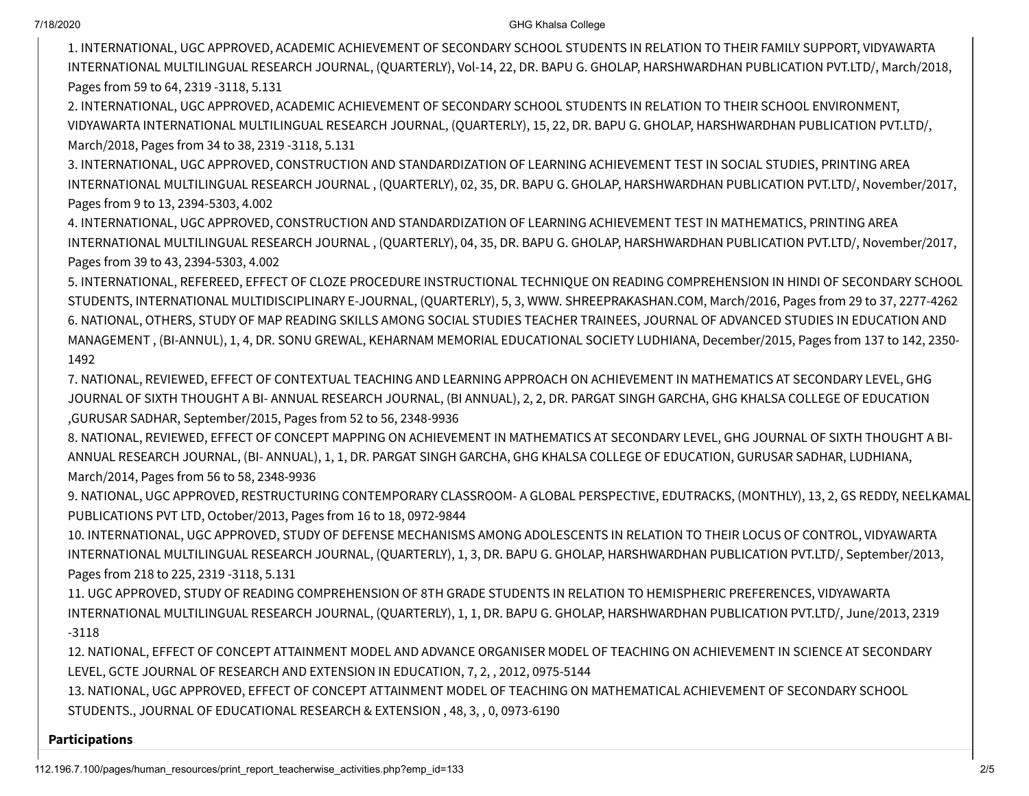#### 7/18/2020 GHG Khalsa College

1. INTERNATIONAL, UGC APPROVED, ACADEMIC ACHIEVEMENT OF SECONDARY SCHOOL STUDENTS IN RELATION TO THEIR FAMILY SUPPORT, VIDYAWARTA INTERNATIONAL MULTILINGUAL RESEARCH JOURNAL, (QUARTERLY), Vol-14, 22, DR. BAPU G. GHOLAP, HARSHWARDHAN PUBLICATION PVT.LTD/, March/2018, Pages from 59 to 64, 2319 -3118, 5.131

2. INTERNATIONAL, UGC APPROVED, ACADEMIC ACHIEVEMENT OF SECONDARY SCHOOL STUDENTS IN RELATION TO THEIR SCHOOL ENVIRONMENT, VIDYAWARTA INTERNATIONAL MULTILINGUAL RESEARCH JOURNAL, (QUARTERLY), 15, 22, DR. BAPU G. GHOLAP, HARSHWARDHAN PUBLICATION PVT.LTD/, March/2018, Pages from 34 to 38, 2319 -3118, 5.131

3. INTERNATIONAL, UGC APPROVED, CONSTRUCTION AND STANDARDIZATION OF LEARNING ACHIEVEMENT TEST IN SOCIAL STUDIES, PRINTING AREA INTERNATIONAL MULTILINGUAL RESEARCH JOURNAL , (QUARTERLY), 02, 35, DR. BAPU G. GHOLAP, HARSHWARDHAN PUBLICATION PVT.LTD/, November/2017, Pages from 9 to 13, 2394-5303, 4.002

4. INTERNATIONAL, UGC APPROVED, CONSTRUCTION AND STANDARDIZATION OF LEARNING ACHIEVEMENT TEST IN MATHEMATICS, PRINTING AREA INTERNATIONAL MULTILINGUAL RESEARCH JOURNAL , (QUARTERLY), 04, 35, DR. BAPU G. GHOLAP, HARSHWARDHAN PUBLICATION PVT.LTD/, November/2017, Pages from 39 to 43, 2394-5303, 4.002

5. INTERNATIONAL, REFEREED, EFFECT OF CLOZE PROCEDURE INSTRUCTIONAL TECHNIQUE ON READING COMPREHENSION IN HINDI OF SECONDARY SCHOOL STUDENTS, INTERNATIONAL MULTIDISCIPLINARY E-JOURNAL, (QUARTERLY), 5, 3, WWW. SHREEPRAKASHAN.COM, March/2016, Pages from 29 to 37, 2277-4262 6. NATIONAL, OTHERS, STUDY OF MAP READING SKILLS AMONG SOCIAL STUDIES TEACHER TRAINEES, JOURNAL OF ADVANCED STUDIES IN EDUCATION AND MANAGEMENT , (BI-ANNUL), 1, 4, DR. SONU GREWAL, KEHARNAM MEMORIAL EDUCATIONAL SOCIETY LUDHIANA, December/2015, Pages from 137 to 142, 2350- 1492

7. NATIONAL, REVIEWED, EFFECT OF CONTEXTUAL TEACHING AND LEARNING APPROACH ON ACHIEVEMENT IN MATHEMATICS AT SECONDARY LEVEL, GHG JOURNAL OF SIXTH THOUGHT A BI- ANNUAL RESEARCH JOURNAL, (BI ANNUAL), 2, 2, DR. PARGAT SINGH GARCHA, GHG KHALSA COLLEGE OF EDUCATION ,GURUSAR SADHAR, September/2015, Pages from 52 to 56, 2348-9936

8. NATIONAL, REVIEWED, EFFECT OF CONCEPT MAPPING ON ACHIEVEMENT IN MATHEMATICS AT SECONDARY LEVEL, GHG JOURNAL OF SIXTH THOUGHT A BI-ANNUAL RESEARCH JOURNAL, (BI- ANNUAL), 1, 1, DR. PARGAT SINGH GARCHA, GHG KHALSA COLLEGE OF EDUCATION, GURUSAR SADHAR, LUDHIANA, March/2014, Pages from 56 to 58, 2348-9936

9. NATIONAL, UGC APPROVED, RESTRUCTURING CONTEMPORARY CLASSROOM- A GLOBAL PERSPECTIVE, EDUTRACKS, (MONTHLY), 13, 2, GS REDDY, NEELKAMAL PUBLICATIONS PVT LTD, October/2013, Pages from 16 to 18, 0972-9844

10. INTERNATIONAL, UGC APPROVED, STUDY OF DEFENSE MECHANISMS AMONG ADOLESCENTS IN RELATION TO THEIR LOCUS OF CONTROL, VIDYAWARTA INTERNATIONAL MULTILINGUAL RESEARCH JOURNAL, (QUARTERLY), 1, 3, DR. BAPU G. GHOLAP, HARSHWARDHAN PUBLICATION PVT.LTD/, September/2013, Pages from 218 to 225, 2319 -3118, 5.131

11. UGC APPROVED, STUDY OF READING COMPREHENSION OF 8TH GRADE STUDENTS IN RELATION TO HEMISPHERIC PREFERENCES, VIDYAWARTA INTERNATIONAL MULTILINGUAL RESEARCH JOURNAL, (QUARTERLY), 1, 1, DR. BAPU G. GHOLAP, HARSHWARDHAN PUBLICATION PVT.LTD/, June/2013, 2319 -3118

12. NATIONAL, EFFECT OF CONCEPT ATTAINMENT MODEL AND ADVANCE ORGANISER MODEL OF TEACHING ON ACHIEVEMENT IN SCIENCE AT SECONDARY LEVEL, GCTE JOURNAL OF RESEARCH AND EXTENSION IN EDUCATION, 7, 2, , 2012, 0975-5144

13. NATIONAL, UGC APPROVED, EFFECT OF CONCEPT ATTAINMENT MODEL OF TEACHING ON MATHEMATICAL ACHIEVEMENT OF SECONDARY SCHOOL STUDENTS., JOURNAL OF EDUCATIONAL RESEARCH & EXTENSION , 48, 3, , 0, 0973-6190

#### **Participations**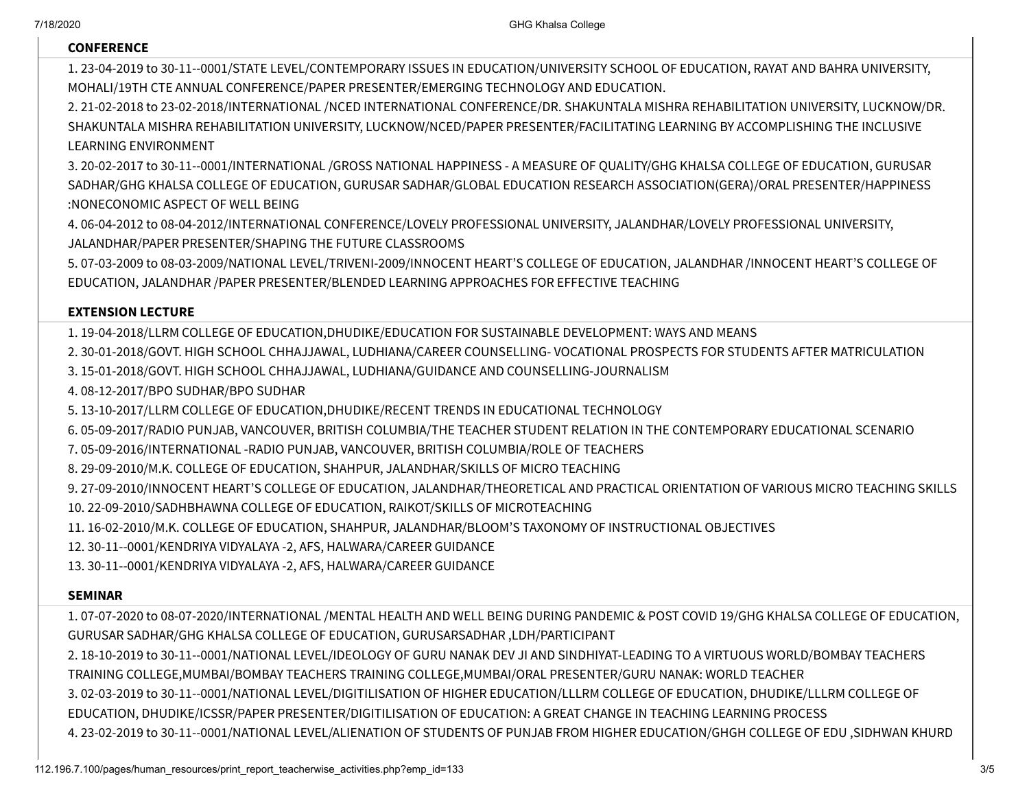#### **CONFERENCE**

1. 23-04-2019 to 30-11--0001/STATE LEVEL/CONTEMPORARY ISSUES IN EDUCATION/UNIVERSITY SCHOOL OF EDUCATION, RAYAT AND BAHRA UNIVERSITY, MOHALI/19TH CTE ANNUAL CONFERENCE/PAPER PRESENTER/EMERGING TECHNOLOGY AND EDUCATION.

2. 21-02-2018 to 23-02-2018/INTERNATIONAL /NCED INTERNATIONAL CONFERENCE/DR. SHAKUNTALA MISHRA REHABILITATION UNIVERSITY, LUCKNOW/DR. SHAKUNTALA MISHRA REHABILITATION UNIVERSITY, LUCKNOW/NCED/PAPER PRESENTER/FACILITATING LEARNING BY ACCOMPLISHING THE INCLUSIVE LEARNING ENVIRONMENT

3. 20-02-2017 to 30-11--0001/INTERNATIONAL /GROSS NATIONAL HAPPINESS - A MEASURE OF QUALITY/GHG KHALSA COLLEGE OF EDUCATION, GURUSAR SADHAR/GHG KHALSA COLLEGE OF EDUCATION, GURUSAR SADHAR/GLOBAL EDUCATION RESEARCH ASSOCIATION(GERA)/ORAL PRESENTER/HAPPINESS :NONECONOMIC ASPECT OF WELL BEING

4. 06-04-2012 to 08-04-2012/INTERNATIONAL CONFERENCE/LOVELY PROFESSIONAL UNIVERSITY, JALANDHAR/LOVELY PROFESSIONAL UNIVERSITY, JALANDHAR/PAPER PRESENTER/SHAPING THE FUTURE CLASSROOMS

5. 07-03-2009 to 08-03-2009/NATIONAL LEVEL/TRIVENI-2009/INNOCENT HEART'S COLLEGE OF EDUCATION, JALANDHAR /INNOCENT HEART'S COLLEGE OF EDUCATION, JALANDHAR /PAPER PRESENTER/BLENDED LEARNING APPROACHES FOR EFFECTIVE TEACHING

#### **EXTENSION LECTURE**

1. 19-04-2018/LLRM COLLEGE OF EDUCATION,DHUDIKE/EDUCATION FOR SUSTAINABLE DEVELOPMENT: WAYS AND MEANS

2. 30-01-2018/GOVT. HIGH SCHOOL CHHAJJAWAL, LUDHIANA/CAREER COUNSELLING- VOCATIONAL PROSPECTS FOR STUDENTS AFTER MATRICULATION

3. 15-01-2018/GOVT. HIGH SCHOOL CHHAJJAWAL, LUDHIANA/GUIDANCE AND COUNSELLING-JOURNALISM

4. 08-12-2017/BPO SUDHAR/BPO SUDHAR

5. 13-10-2017/LLRM COLLEGE OF EDUCATION,DHUDIKE/RECENT TRENDS IN EDUCATIONAL TECHNOLOGY

6. 05-09-2017/RADIO PUNJAB, VANCOUVER, BRITISH COLUMBIA/THE TEACHER STUDENT RELATION IN THE CONTEMPORARY EDUCATIONAL SCENARIO

7. 05-09-2016/INTERNATIONAL -RADIO PUNJAB, VANCOUVER, BRITISH COLUMBIA/ROLE OF TEACHERS

8. 29-09-2010/M.K. COLLEGE OF EDUCATION, SHAHPUR, JALANDHAR/SKILLS OF MICRO TEACHING

9. 27-09-2010/INNOCENT HEART'S COLLEGE OF EDUCATION, JALANDHAR/THEORETICAL AND PRACTICAL ORIENTATION OF VARIOUS MICRO TEACHING SKILLS 10. 22-09-2010/SADHBHAWNA COLLEGE OF EDUCATION, RAIKOT/SKILLS OF MICROTEACHING

11. 16-02-2010/M.K. COLLEGE OF EDUCATION, SHAHPUR, JALANDHAR/BLOOM'S TAXONOMY OF INSTRUCTIONAL OBJECTIVES

12. 30-11--0001/KENDRIYA VIDYALAYA -2, AFS, HALWARA/CAREER GUIDANCE

13. 30-11--0001/KENDRIYA VIDYALAYA -2, AFS, HALWARA/CAREER GUIDANCE

### **SEMINAR**

1. 07-07-2020 to 08-07-2020/INTERNATIONAL /MENTAL HEALTH AND WELL BEING DURING PANDEMIC & POST COVID 19/GHG KHALSA COLLEGE OF EDUCATION, GURUSAR SADHAR/GHG KHALSA COLLEGE OF EDUCATION, GURUSARSADHAR ,LDH/PARTICIPANT

2. 18-10-2019 to 30-11--0001/NATIONAL LEVEL/IDEOLOGY OF GURU NANAK DEV JI AND SINDHIYAT-LEADING TO A VIRTUOUS WORLD/BOMBAY TEACHERS TRAINING COLLEGE,MUMBAI/BOMBAY TEACHERS TRAINING COLLEGE,MUMBAI/ORAL PRESENTER/GURU NANAK: WORLD TEACHER

3. 02-03-2019 to 30-11--0001/NATIONAL LEVEL/DIGITILISATION OF HIGHER EDUCATION/LLLRM COLLEGE OF EDUCATION, DHUDIKE/LLLRM COLLEGE OF

EDUCATION, DHUDIKE/ICSSR/PAPER PRESENTER/DIGITILISATION OF EDUCATION: A GREAT CHANGE IN TEACHING LEARNING PROCESS

4. 23-02-2019 to 30-11--0001/NATIONAL LEVEL/ALIENATION OF STUDENTS OF PUNJAB FROM HIGHER EDUCATION/GHGH COLLEGE OF EDU ,SIDHWAN KHURD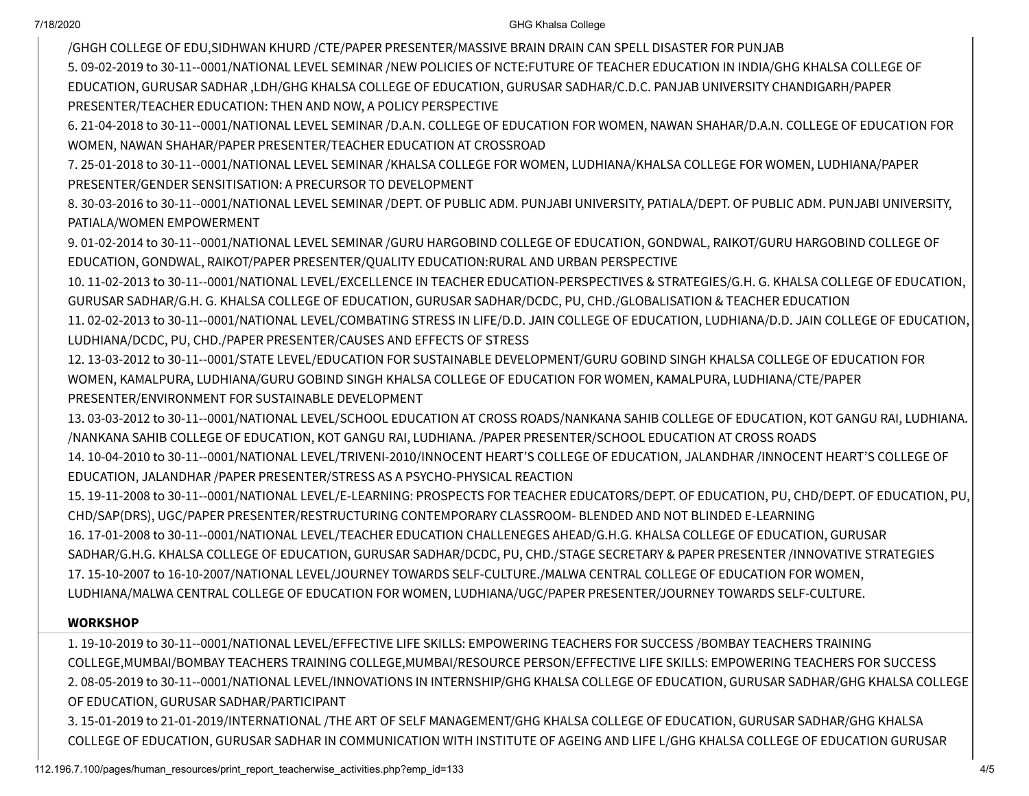7/18/2020 GHG Khalsa College

/GHGH COLLEGE OF EDU,SIDHWAN KHURD /CTE/PAPER PRESENTER/MASSIVE BRAIN DRAIN CAN SPELL DISASTER FOR PUNJAB 5. 09-02-2019 to 30-11--0001/NATIONAL LEVEL SEMINAR /NEW POLICIES OF NCTE:FUTURE OF TEACHER EDUCATION IN INDIA/GHG KHALSA COLLEGE OF EDUCATION, GURUSAR SADHAR ,LDH/GHG KHALSA COLLEGE OF EDUCATION, GURUSAR SADHAR/C.D.C. PANJAB UNIVERSITY CHANDIGARH/PAPER PRESENTER/TEACHER EDUCATION: THEN AND NOW, A POLICY PERSPECTIVE

6. 21-04-2018 to 30-11--0001/NATIONAL LEVEL SEMINAR /D.A.N. COLLEGE OF EDUCATION FOR WOMEN, NAWAN SHAHAR/D.A.N. COLLEGE OF EDUCATION FOR WOMEN, NAWAN SHAHAR/PAPER PRESENTER/TEACHER EDUCATION AT CROSSROAD

7. 25-01-2018 to 30-11--0001/NATIONAL LEVEL SEMINAR /KHALSA COLLEGE FOR WOMEN, LUDHIANA/KHALSA COLLEGE FOR WOMEN, LUDHIANA/PAPER PRESENTER/GENDER SENSITISATION: A PRECURSOR TO DEVELOPMENT

8. 30-03-2016 to 30-11--0001/NATIONAL LEVEL SEMINAR /DEPT. OF PUBLIC ADM. PUNJABI UNIVERSITY, PATIALA/DEPT. OF PUBLIC ADM. PUNJABI UNIVERSITY, PATIALA/WOMEN EMPOWERMENT

9. 01-02-2014 to 30-11--0001/NATIONAL LEVEL SEMINAR /GURU HARGOBIND COLLEGE OF EDUCATION, GONDWAL, RAIKOT/GURU HARGOBIND COLLEGE OF EDUCATION, GONDWAL, RAIKOT/PAPER PRESENTER/QUALITY EDUCATION:RURAL AND URBAN PERSPECTIVE

10. 11-02-2013 to 30-11--0001/NATIONAL LEVEL/EXCELLENCE IN TEACHER EDUCATION-PERSPECTIVES & STRATEGIES/G.H. G. KHALSA COLLEGE OF EDUCATION, GURUSAR SADHAR/G.H. G. KHALSA COLLEGE OF EDUCATION, GURUSAR SADHAR/DCDC, PU, CHD./GLOBALISATION & TEACHER EDUCATION

11. 02-02-2013 to 30-11--0001/NATIONAL LEVEL/COMBATING STRESS IN LIFE/D.D. JAIN COLLEGE OF EDUCATION, LUDHIANA/D.D. JAIN COLLEGE OF EDUCATION, LUDHIANA/DCDC, PU, CHD./PAPER PRESENTER/CAUSES AND EFFECTS OF STRESS

12. 13-03-2012 to 30-11--0001/STATE LEVEL/EDUCATION FOR SUSTAINABLE DEVELOPMENT/GURU GOBIND SINGH KHALSA COLLEGE OF EDUCATION FOR WOMEN, KAMALPURA, LUDHIANA/GURU GOBIND SINGH KHALSA COLLEGE OF EDUCATION FOR WOMEN, KAMALPURA, LUDHIANA/CTE/PAPER PRESENTER/ENVIRONMENT FOR SUSTAINABLE DEVELOPMENT

13. 03-03-2012 to 30-11--0001/NATIONAL LEVEL/SCHOOL EDUCATION AT CROSS ROADS/NANKANA SAHIB COLLEGE OF EDUCATION, KOT GANGU RAI, LUDHIANA. /NANKANA SAHIB COLLEGE OF EDUCATION, KOT GANGU RAI, LUDHIANA. /PAPER PRESENTER/SCHOOL EDUCATION AT CROSS ROADS

14. 10-04-2010 to 30-11--0001/NATIONAL LEVEL/TRIVENI-2010/INNOCENT HEART'S COLLEGE OF EDUCATION, JALANDHAR /INNOCENT HEART'S COLLEGE OF EDUCATION, JALANDHAR /PAPER PRESENTER/STRESS AS A PSYCHO-PHYSICAL REACTION

15. 19-11-2008 to 30-11--0001/NATIONAL LEVEL/E-LEARNING: PROSPECTS FOR TEACHER EDUCATORS/DEPT. OF EDUCATION, PU, CHD/DEPT. OF EDUCATION, PU, CHD/SAP(DRS), UGC/PAPER PRESENTER/RESTRUCTURING CONTEMPORARY CLASSROOM- BLENDED AND NOT BLINDED E-LEARNING

16. 17-01-2008 to 30-11--0001/NATIONAL LEVEL/TEACHER EDUCATION CHALLENEGES AHEAD/G.H.G. KHALSA COLLEGE OF EDUCATION, GURUSAR SADHAR/G.H.G. KHALSA COLLEGE OF EDUCATION, GURUSAR SADHAR/DCDC, PU, CHD./STAGE SECRETARY & PAPER PRESENTER /INNOVATIVE STRATEGIES 17. 15-10-2007 to 16-10-2007/NATIONAL LEVEL/JOURNEY TOWARDS SELF-CULTURE./MALWA CENTRAL COLLEGE OF EDUCATION FOR WOMEN, LUDHIANA/MALWA CENTRAL COLLEGE OF EDUCATION FOR WOMEN, LUDHIANA/UGC/PAPER PRESENTER/JOURNEY TOWARDS SELF-CULTURE.

## **WORKSHOP**

1. 19-10-2019 to 30-11--0001/NATIONAL LEVEL/EFFECTIVE LIFE SKILLS: EMPOWERING TEACHERS FOR SUCCESS /BOMBAY TEACHERS TRAINING COLLEGE,MUMBAI/BOMBAY TEACHERS TRAINING COLLEGE,MUMBAI/RESOURCE PERSON/EFFECTIVE LIFE SKILLS: EMPOWERING TEACHERS FOR SUCCESS 2. 08-05-2019 to 30-11--0001/NATIONAL LEVEL/INNOVATIONS IN INTERNSHIP/GHG KHALSA COLLEGE OF EDUCATION, GURUSAR SADHAR/GHG KHALSA COLLEGE OF EDUCATION, GURUSAR SADHAR/PARTICIPANT

3. 15-01-2019 to 21-01-2019/INTERNATIONAL /THE ART OF SELF MANAGEMENT/GHG KHALSA COLLEGE OF EDUCATION, GURUSAR SADHAR/GHG KHALSA COLLEGE OF EDUCATION, GURUSAR SADHAR IN COMMUNICATION WITH INSTITUTE OF AGEING AND LIFE L/GHG KHALSA COLLEGE OF EDUCATION GURUSAR